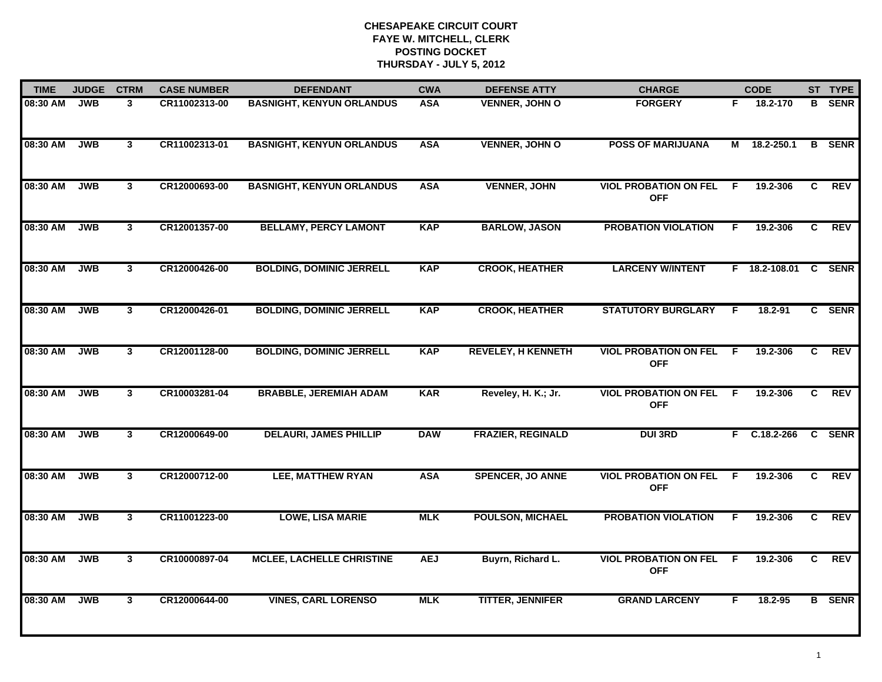| <b>TIME</b> | <b>JUDGE</b> | <b>CTRM</b>    | <b>CASE NUMBER</b> | <b>DEFENDANT</b>                 | <b>CWA</b> | <b>DEFENSE ATTY</b>       | <b>CHARGE</b>                              |    | <b>CODE</b>    |    | ST TYPE       |
|-------------|--------------|----------------|--------------------|----------------------------------|------------|---------------------------|--------------------------------------------|----|----------------|----|---------------|
| 08:30 AM    | <b>JWB</b>   | 3              | CR11002313-00      | <b>BASNIGHT, KENYUN ORLANDUS</b> | <b>ASA</b> | <b>VENNER, JOHN O</b>     | <b>FORGERY</b>                             | F. | 18.2-170       | B  | <b>SENR</b>   |
| 08:30 AM    | <b>JWB</b>   | $\mathbf{3}$   | CR11002313-01      | <b>BASNIGHT, KENYUN ORLANDUS</b> | <b>ASA</b> | <b>VENNER, JOHN O</b>     | <b>POSS OF MARIJUANA</b>                   |    | M 18.2-250.1   | B  | <b>SENR</b>   |
| 08:30 AM    | <b>JWB</b>   | $\overline{3}$ | CR12000693-00      | <b>BASNIGHT, KENYUN ORLANDUS</b> | <b>ASA</b> | <b>VENNER, JOHN</b>       | <b>VIOL PROBATION ON FEL</b><br><b>OFF</b> | -F | 19.2-306       | C. | REV           |
| 08:30 AM    | <b>JWB</b>   | 3 <sup>1</sup> | CR12001357-00      | <b>BELLAMY, PERCY LAMONT</b>     | <b>KAP</b> | <b>BARLOW, JASON</b>      | <b>PROBATION VIOLATION</b>                 | F. | 19.2-306       | C  | <b>REV</b>    |
| 08:30 AM    | <b>JWB</b>   | 3 <sup>1</sup> | CR12000426-00      | <b>BOLDING, DOMINIC JERRELL</b>  | <b>KAP</b> | <b>CROOK, HEATHER</b>     | <b>LARCENY W/INTENT</b>                    |    | F 18.2-108.01  |    | C SENR        |
| 08:30 AM    | <b>JWB</b>   | $\mathbf{3}$   | CR12000426-01      | <b>BOLDING, DOMINIC JERRELL</b>  | <b>KAP</b> | <b>CROOK, HEATHER</b>     | <b>STATUTORY BURGLARY</b>                  | F. | 18.2-91        |    | C SENR        |
| 08:30 AM    | <b>JWB</b>   | $\mathbf{3}$   | CR12001128-00      | <b>BOLDING, DOMINIC JERRELL</b>  | <b>KAP</b> | <b>REVELEY, H KENNETH</b> | <b>VIOL PROBATION ON FEL</b><br><b>OFF</b> | F. | 19.2-306       | C  | <b>REV</b>    |
| 08:30 AM    | <b>JWB</b>   | $\mathbf{3}$   | CR10003281-04      | <b>BRABBLE, JEREMIAH ADAM</b>    | <b>KAR</b> | Reveley, H. K.; Jr.       | <b>VIOL PROBATION ON FEL</b><br><b>OFF</b> | -F | 19.2-306       | C. | <b>REV</b>    |
| 08:30 AM    | <b>JWB</b>   | 3 <sup>1</sup> | CR12000649-00      | <b>DELAURI, JAMES PHILLIP</b>    | <b>DAW</b> | <b>FRAZIER, REGINALD</b>  | <b>DUI 3RD</b>                             | F. | $C.18.2 - 266$ |    | C SENR        |
| 08:30 AM    | <b>JWB</b>   | 3 <sup>1</sup> | CR12000712-00      | <b>LEE, MATTHEW RYAN</b>         | <b>ASA</b> | <b>SPENCER, JO ANNE</b>   | <b>VIOL PROBATION ON FEL</b><br><b>OFF</b> | F  | 19.2-306       | C  | <b>REV</b>    |
| 08:30 AM    | <b>JWB</b>   | $\mathbf{3}$   | CR11001223-00      | <b>LOWE, LISA MARIE</b>          | <b>MLK</b> | <b>POULSON, MICHAEL</b>   | <b>PROBATION VIOLATION</b>                 | F. | 19.2-306       | C. | <b>REV</b>    |
| 08:30 AM    | <b>JWB</b>   | $\mathbf{3}$   | CR10000897-04      | <b>MCLEE, LACHELLE CHRISTINE</b> | <b>AEJ</b> | Buyrn, Richard L.         | <b>VIOL PROBATION ON FEL</b><br><b>OFF</b> | F. | 19.2-306       | C  | <b>REV</b>    |
| 08:30 AM    | <b>JWB</b>   | $\mathbf{3}$   | CR12000644-00      | <b>VINES, CARL LORENSO</b>       | <b>MLK</b> | <b>TITTER, JENNIFER</b>   | <b>GRAND LARCENY</b>                       | F  | 18.2-95        |    | <b>B</b> SENR |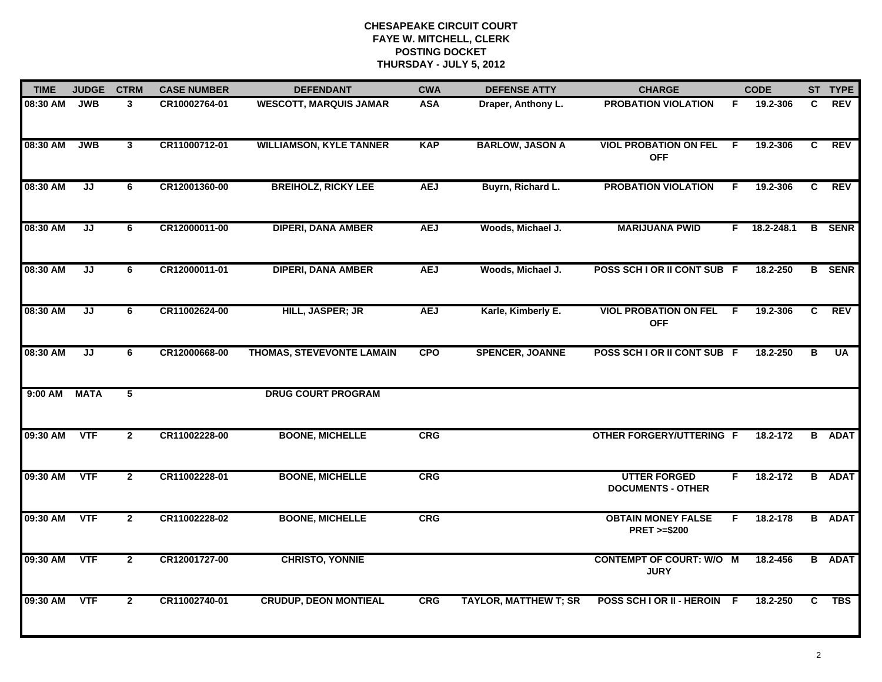| <b>TIME</b> | <b>JUDGE</b> | <b>CTRM</b>    | <b>CASE NUMBER</b> | <b>DEFENDANT</b>               | <b>CWA</b> | <b>DEFENSE ATTY</b>          | <b>CHARGE</b>                                       |     | <b>CODE</b> |    | ST TYPE       |
|-------------|--------------|----------------|--------------------|--------------------------------|------------|------------------------------|-----------------------------------------------------|-----|-------------|----|---------------|
| 08:30 AM    | <b>JWB</b>   | 3              | CR10002764-01      | <b>WESCOTT, MARQUIS JAMAR</b>  | <b>ASA</b> | Draper, Anthony L.           | <b>PROBATION VIOLATION</b>                          | F.  | 19.2-306    | C  | <b>REV</b>    |
| 08:30 AM    | <b>JWB</b>   | $\mathbf{3}$   | CR11000712-01      | <b>WILLIAMSON, KYLE TANNER</b> | <b>KAP</b> | <b>BARLOW, JASON A</b>       | <b>VIOL PROBATION ON FEL</b><br><b>OFF</b>          | - F | 19.2-306    | C  | <b>REV</b>    |
| 08:30 AM    | JJ           | 6              | CR12001360-00      | <b>BREIHOLZ, RICKY LEE</b>     | <b>AEJ</b> | Buyrn, Richard L.            | <b>PROBATION VIOLATION</b>                          | F   | 19.2-306    | C  | <b>REV</b>    |
| 08:30 AM    | JJ           | 6              | CR12000011-00      | <b>DIPERI, DANA AMBER</b>      | <b>AEJ</b> | Woods, Michael J.            | <b>MARIJUANA PWID</b>                               | F.  | 18.2-248.1  |    | <b>B</b> SENR |
| 08:30 AM    | JJ           | 6              | CR12000011-01      | <b>DIPERI, DANA AMBER</b>      | <b>AEJ</b> | Woods, Michael J.            | POSS SCH I OR II CONT SUB F                         |     | 18.2-250    |    | <b>B</b> SENR |
| 08:30 AM    | JJ           | 6              | CR11002624-00      | HILL, JASPER; JR               | <b>AEJ</b> | Karle, Kimberly E.           | <b>VIOL PROBATION ON FEL</b><br><b>OFF</b>          | -F  | 19.2-306    | C. | <b>REV</b>    |
| 08:30 AM    | JJ           | 6              | CR12000668-00      | THOMAS, STEVEVONTE LAMAIN      | <b>CPO</b> | <b>SPENCER, JOANNE</b>       | POSS SCH I OR II CONT SUB F                         |     | 18.2-250    | в  | <b>UA</b>     |
| 9:00 AM     | <b>MATA</b>  | 5              |                    | <b>DRUG COURT PROGRAM</b>      |            |                              |                                                     |     |             |    |               |
| 09:30 AM    | <b>VTF</b>   | $\overline{2}$ | CR11002228-00      | <b>BOONE, MICHELLE</b>         | <b>CRG</b> |                              | <b>OTHER FORGERY/UTTERING F</b>                     |     | 18.2-172    | B  | <b>ADAT</b>   |
| 09:30 AM    | <b>VTF</b>   | $\overline{2}$ | CR11002228-01      | <b>BOONE, MICHELLE</b>         | CRG        |                              | <b>UTTER FORGED</b><br><b>DOCUMENTS - OTHER</b>     | F   | 18.2-172    |    | <b>B</b> ADAT |
| 09:30 AM    | <b>VTF</b>   | $\overline{2}$ | CR11002228-02      | <b>BOONE, MICHELLE</b>         | <b>CRG</b> |                              | <b>OBTAIN MONEY FALSE</b><br><b>PRET &gt;=\$200</b> | F.  | 18.2-178    |    | <b>B</b> ADAT |
| 09:30 AM    | <b>VTF</b>   | $\mathbf{2}$   | CR12001727-00      | <b>CHRISTO, YONNIE</b>         |            |                              | <b>CONTEMPT OF COURT: W/O M</b><br><b>JURY</b>      |     | 18.2-456    |    | <b>B</b> ADAT |
| 09:30 AM    | <b>VTF</b>   | $\overline{2}$ | CR11002740-01      | <b>CRUDUP, DEON MONTIEAL</b>   | <b>CRG</b> | <b>TAYLOR, MATTHEW T; SR</b> | POSS SCH I OR II - HEROIN F                         |     | 18.2-250    | C. | <b>TBS</b>    |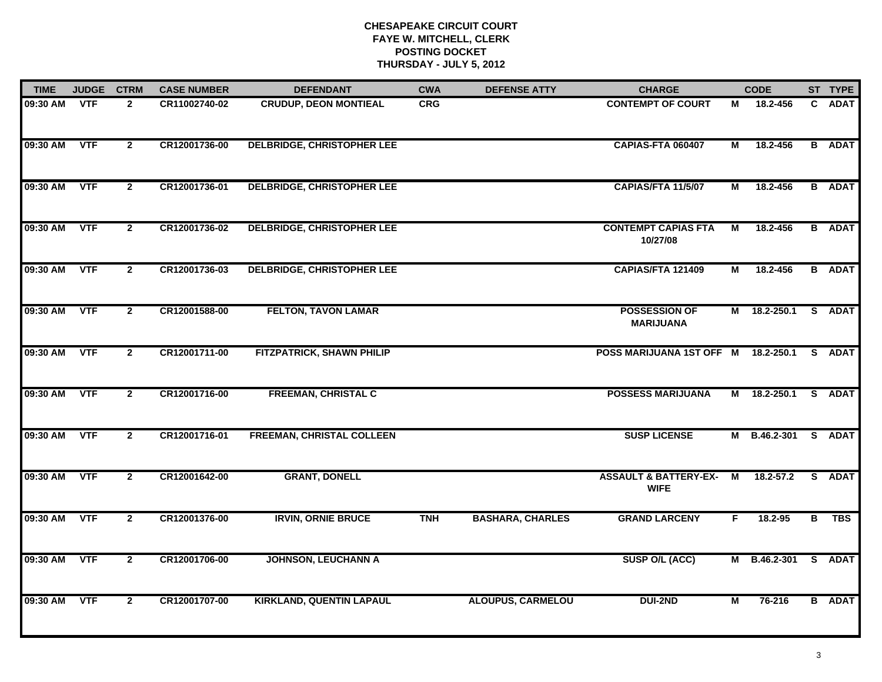| <b>TIME</b> | <b>JUDGE</b> | <b>CTRM</b>    | <b>CASE NUMBER</b> | <b>DEFENDANT</b>                  | <b>CWA</b> | <b>DEFENSE ATTY</b>      | <b>CHARGE</b>                                   |    | <b>CODE</b>         |              | ST TYPE       |
|-------------|--------------|----------------|--------------------|-----------------------------------|------------|--------------------------|-------------------------------------------------|----|---------------------|--------------|---------------|
| 09:30 AM    | <b>VTF</b>   | $\mathbf{2}$   | CR11002740-02      | <b>CRUDUP, DEON MONTIEAL</b>      | <b>CRG</b> |                          | <b>CONTEMPT OF COURT</b>                        | М  | 18.2-456            | $\mathbf{C}$ | <b>ADAT</b>   |
| 09:30 AM    | <b>VTF</b>   | $\overline{2}$ | CR12001736-00      | <b>DELBRIDGE, CHRISTOPHER LEE</b> |            |                          | CAPIAS-FTA 060407                               | М  | 18.2-456            |              | <b>B</b> ADAT |
| 09:30 AM    | <b>VTF</b>   | $\overline{2}$ | CR12001736-01      | <b>DELBRIDGE, CHRISTOPHER LEE</b> |            |                          | CAPIAS/FTA 11/5/07                              | М  | 18.2-456            |              | <b>B</b> ADAT |
| 09:30 AM    | <b>VTF</b>   | $\mathbf{2}$   | CR12001736-02      | <b>DELBRIDGE, CHRISTOPHER LEE</b> |            |                          | <b>CONTEMPT CAPIAS FTA</b><br>10/27/08          | М  | 18.2-456            |              | <b>B</b> ADAT |
| 09:30 AM    | <b>VTF</b>   | $\mathbf{2}$   | CR12001736-03      | <b>DELBRIDGE, CHRISTOPHER LEE</b> |            |                          | CAPIAS/FTA 121409                               | М  | 18.2-456            |              | <b>B</b> ADAT |
| 09:30 AM    | <b>VTF</b>   | $\mathbf{2}$   | CR12001588-00      | <b>FELTON, TAVON LAMAR</b>        |            |                          | <b>POSSESSION OF</b><br><b>MARIJUANA</b>        |    | M 18.2-250.1 S ADAT |              |               |
| 09:30 AM    | VTF          | $\mathbf{2}$   | CR12001711-00      | <b>FITZPATRICK, SHAWN PHILIP</b>  |            |                          | POSS MARIJUANA 1ST OFF M 18.2-250.1 S ADAT      |    |                     |              |               |
| 09:30 AM    | <b>VTF</b>   | $\overline{2}$ | CR12001716-00      | <b>FREEMAN, CHRISTAL C</b>        |            |                          | <b>POSSESS MARIJUANA</b>                        |    | M 18.2-250.1 S ADAT |              |               |
| 09:30 AM    | <b>VTF</b>   | $\mathbf{2}$   | CR12001716-01      | <b>FREEMAN, CHRISTAL COLLEEN</b>  |            |                          | <b>SUSP LICENSE</b>                             |    | M B.46.2-301 S ADAT |              |               |
| 09:30 AM    | <b>VTF</b>   | $\mathbf{2}$   | CR12001642-00      | <b>GRANT, DONELL</b>              |            |                          | <b>ASSAULT &amp; BATTERY-EX-</b><br><b>WIFE</b> | M  | $18.2 - 57.2$       |              | S ADAT        |
| 09:30 AM    | <b>VTF</b>   | $\mathbf{2}$   | CR12001376-00      | <b>IRVIN, ORNIE BRUCE</b>         | <b>TNH</b> | <b>BASHARA, CHARLES</b>  | <b>GRAND LARCENY</b>                            | F. | 18.2-95             |              | B TBS         |
| 09:30 AM    | <b>VTF</b>   | $\mathbf{2}$   | CR12001706-00      | <b>JOHNSON, LEUCHANN A</b>        |            |                          | SUSP O/L (ACC)                                  |    | M B.46.2-301        |              | S ADAT        |
| 09:30 AM    | <b>VTF</b>   | $\overline{2}$ | CR12001707-00      | <b>KIRKLAND, QUENTIN LAPAUL</b>   |            | <b>ALOUPUS, CARMELOU</b> | <b>DUI-2ND</b>                                  | М  | 76-216              |              | <b>B</b> ADAT |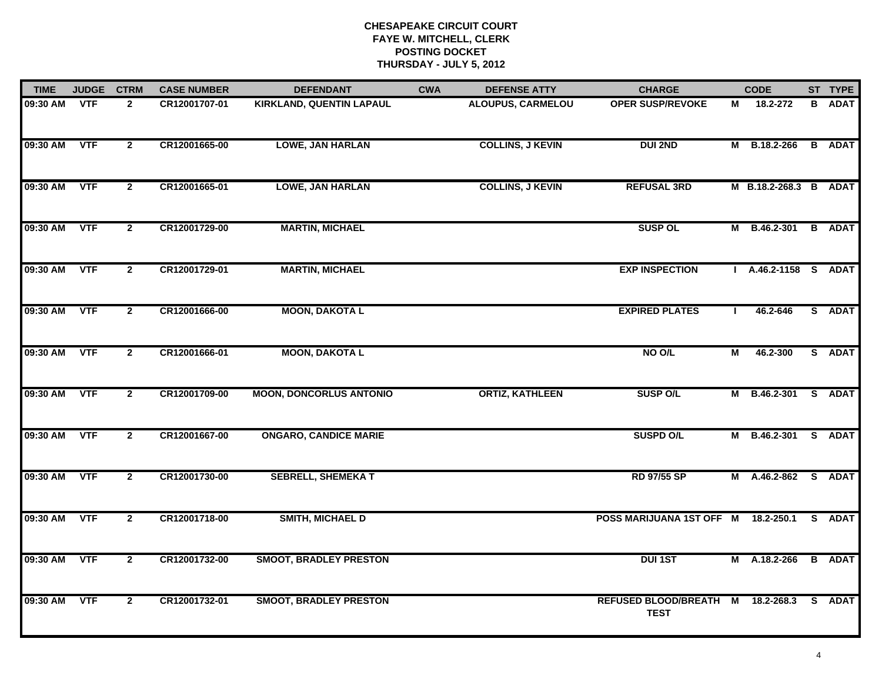| <b>TIME</b> | <b>JUDGE</b> | <b>CTRM</b>    | <b>CASE NUMBER</b> | <b>DEFENDANT</b>                | <b>CWA</b> | <b>DEFENSE ATTY</b>      | <b>CHARGE</b>                         |   | <b>CODE</b>           | ST TYPE       |
|-------------|--------------|----------------|--------------------|---------------------------------|------------|--------------------------|---------------------------------------|---|-----------------------|---------------|
| 09:30 AM    | <b>VTF</b>   | $\mathbf{2}$   | CR12001707-01      | <b>KIRKLAND, QUENTIN LAPAUL</b> |            | <b>ALOUPUS, CARMELOU</b> | <b>OPER SUSP/REVOKE</b>               | М | 18.2-272              | <b>B</b> ADAT |
| 09:30 AM    | <b>VTF</b>   | $\mathbf{2}$   | CR12001665-00      | <b>LOWE, JAN HARLAN</b>         |            | <b>COLLINS, J KEVIN</b>  | <b>DUI 2ND</b>                        |   | M B.18.2-266          | <b>B</b> ADAT |
| 09:30 AM    | <b>VTF</b>   | $\overline{2}$ | CR12001665-01      | <b>LOWE, JAN HARLAN</b>         |            | <b>COLLINS, J KEVIN</b>  | <b>REFUSAL 3RD</b>                    |   | M B.18.2-268.3 B ADAT |               |
| 09:30 AM    | <b>VTF</b>   | $\overline{2}$ | CR12001729-00      | <b>MARTIN, MICHAEL</b>          |            |                          | <b>SUSP OL</b>                        | М | B.46.2-301            | <b>B</b> ADAT |
| 09:30 AM    | <b>VTF</b>   | $\overline{2}$ | CR12001729-01      | <b>MARTIN, MICHAEL</b>          |            |                          | <b>EXP INSPECTION</b>                 |   | A.46.2-1158 S ADAT    |               |
| 09:30 AM    | <b>VTF</b>   | $\overline{2}$ | CR12001666-00      | <b>MOON, DAKOTA L</b>           |            |                          | <b>EXPIRED PLATES</b>                 |   | 46.2-646              | S ADAT        |
| 09:30 AM    | VTF          | $\overline{2}$ | CR12001666-01      | <b>MOON, DAKOTA L</b>           |            |                          | NO O/L                                | M | 46.2-300              | S ADAT        |
| 09:30 AM    | <b>VTF</b>   | $\overline{2}$ | CR12001709-00      | <b>MOON, DONCORLUS ANTONIO</b>  |            | <b>ORTIZ, KATHLEEN</b>   | <b>SUSP O/L</b>                       |   | M B.46.2-301 S ADAT   |               |
| 09:30 AM    | VTF          | $\mathbf{2}$   | CR12001667-00      | <b>ONGARO, CANDICE MARIE</b>    |            |                          | <b>SUSPD O/L</b>                      |   | M B.46.2-301 S ADAT   |               |
| 09:30 AM    | <b>VTF</b>   | $\mathbf{2}$   | CR12001730-00      | <b>SEBRELL, SHEMEKA T</b>       |            |                          | <b>RD 97/55 SP</b>                    |   | M A.46.2-862 S ADAT   |               |
| 09:30 AM    | <b>VTF</b>   | $\overline{2}$ | CR12001718-00      | <b>SMITH, MICHAEL D</b>         |            |                          | POSS MARIJUANA 1ST OFF M 18.2-250.1   |   |                       | S ADAT        |
| 09:30 AM    | <b>VTF</b>   | $\overline{2}$ | CR12001732-00      | <b>SMOOT, BRADLEY PRESTON</b>   |            |                          | <b>DUI 1ST</b>                        |   | M A.18.2-266          | <b>B</b> ADAT |
| 09:30 AM    | <b>VTF</b>   | $\mathbf{2}$   | CR12001732-01      | <b>SMOOT, BRADLEY PRESTON</b>   |            |                          | REFUSED BLOOD/BREATH M<br><b>TEST</b> |   | 18.2-268.3            | S ADAT        |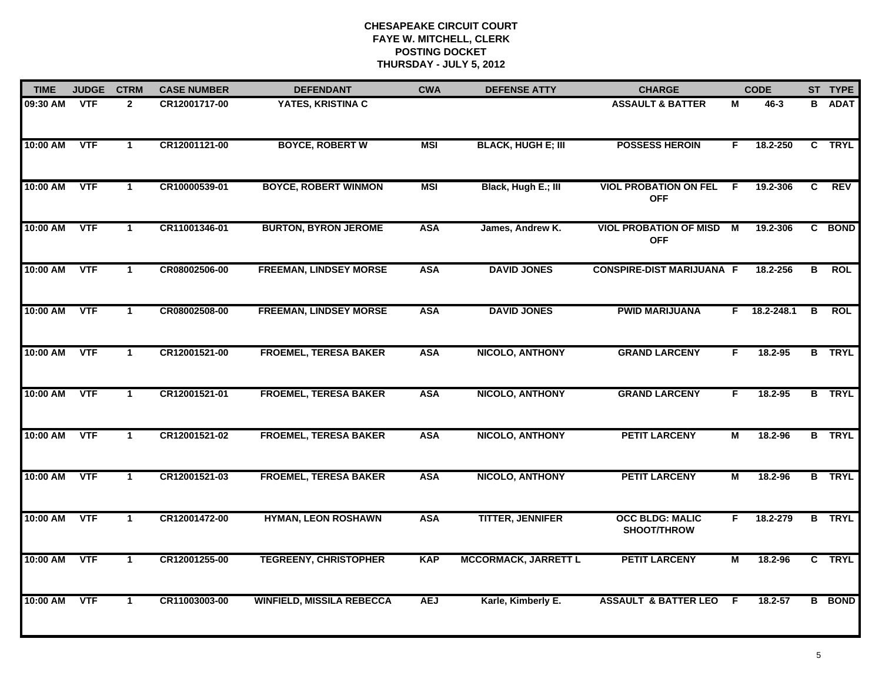| <b>TIME</b> | <b>JUDGE</b> | <b>CTRM</b>          | <b>CASE NUMBER</b> | <b>DEFENDANT</b>                 | <b>CWA</b> | <b>DEFENSE ATTY</b>         | <b>CHARGE</b>                                 |    | <b>CODE</b>    |   | ST TYPE       |
|-------------|--------------|----------------------|--------------------|----------------------------------|------------|-----------------------------|-----------------------------------------------|----|----------------|---|---------------|
| 09:30 AM    | <b>VTF</b>   | $\mathbf{2}$         | CR12001717-00      | YATES, KRISTINA C                |            |                             | <b>ASSAULT &amp; BATTER</b>                   | М  | 46-3           |   | <b>B</b> ADAT |
| 10:00 AM    | <b>VTF</b>   | $\mathbf{1}$         | CR12001121-00      | <b>BOYCE, ROBERT W</b>           | <b>MSI</b> | <b>BLACK, HUGH E; III</b>   | <b>POSSESS HEROIN</b>                         | F. | 18.2-250       |   | C TRYL        |
| 10:00 AM    | <b>VTF</b>   | $\mathbf{1}$         | CR10000539-01      | <b>BOYCE, ROBERT WINMON</b>      | <b>MSI</b> | Black, Hugh E.; III         | <b>VIOL PROBATION ON FEL</b><br><b>OFF</b>    | -F | 19.2-306       | C | <b>REV</b>    |
| 10:00 AM    | <b>VTF</b>   | 1                    | CR11001346-01      | <b>BURTON, BYRON JEROME</b>      | <b>ASA</b> | James, Andrew K.            | <b>VIOL PROBATION OF MISD M</b><br><b>OFF</b> |    | 19.2-306       |   | C BOND        |
| 10:00 AM    | <b>VTF</b>   | $\mathbf{1}$         | CR08002506-00      | <b>FREEMAN, LINDSEY MORSE</b>    | <b>ASA</b> | <b>DAVID JONES</b>          | <b>CONSPIRE-DIST MARIJUANA F</b>              |    | 18.2-256       | B | <b>ROL</b>    |
| 10:00 AM    | <b>VTF</b>   | $\mathbf 1$          | CR08002508-00      | <b>FREEMAN, LINDSEY MORSE</b>    | <b>ASA</b> | <b>DAVID JONES</b>          | <b>PWID MARIJUANA</b>                         |    | $F$ 18.2-248.1 | B | <b>ROL</b>    |
| 10:00 AM    | <b>VTF</b>   | $\mathbf{1}$         | CR12001521-00      | <b>FROEMEL, TERESA BAKER</b>     | <b>ASA</b> | <b>NICOLO, ANTHONY</b>      | <b>GRAND LARCENY</b>                          | F. | 18.2-95        |   | <b>B</b> TRYL |
| 10:00 AM    | VTF          | $\mathbf 1$          | CR12001521-01      | <b>FROEMEL, TERESA BAKER</b>     | <b>ASA</b> | <b>NICOLO, ANTHONY</b>      | <b>GRAND LARCENY</b>                          | F. | 18.2-95        |   | <b>B</b> TRYL |
| 10:00 AM    | <b>VTF</b>   | $\blacktriangleleft$ | CR12001521-02      | <b>FROEMEL, TERESA BAKER</b>     | <b>ASA</b> | <b>NICOLO, ANTHONY</b>      | <b>PETIT LARCENY</b>                          | м  | 18.2-96        |   | <b>B</b> TRYL |
| 10:00 AM    | <b>VTF</b>   | $\mathbf 1$          | CR12001521-03      | <b>FROEMEL, TERESA BAKER</b>     | <b>ASA</b> | <b>NICOLO, ANTHONY</b>      | <b>PETIT LARCENY</b>                          | M  | 18.2-96        |   | <b>B</b> TRYL |
| 10:00 AM    | <b>VTF</b>   | $\mathbf 1$          | CR12001472-00      | <b>HYMAN, LEON ROSHAWN</b>       | <b>ASA</b> | <b>TITTER, JENNIFER</b>     | <b>OCC BLDG: MALIC</b><br>SHOOT/THROW         | F. | 18.2-279       |   | <b>B</b> TRYL |
| 10:00 AM    | <b>VTF</b>   | $\mathbf 1$          | CR12001255-00      | <b>TEGREENY, CHRISTOPHER</b>     | <b>KAP</b> | <b>MCCORMACK, JARRETT L</b> | <b>PETIT LARCENY</b>                          | М  | 18.2-96        |   | C TRYL        |
| 10:00 AM    | <b>VTF</b>   | $\mathbf{1}$         | CR11003003-00      | <b>WINFIELD, MISSILA REBECCA</b> | <b>AEJ</b> | Karle, Kimberly E.          | <b>ASSAULT &amp; BATTER LEO</b>               | -F | 18.2-57        |   | <b>B</b> BOND |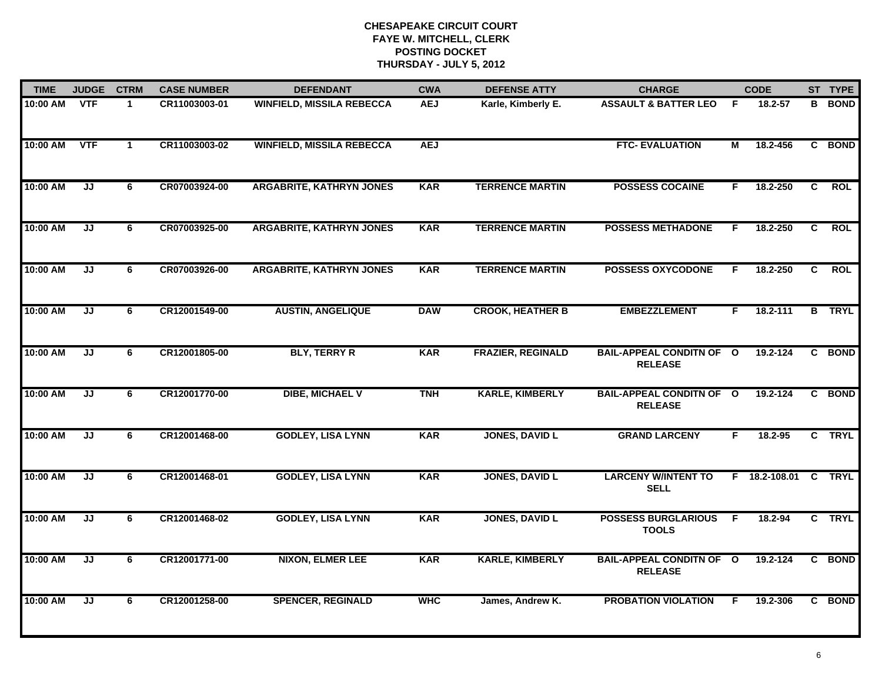| <b>TIME</b> | <b>JUDGE</b> | <b>CTRM</b>  | <b>CASE NUMBER</b> | <b>DEFENDANT</b>                 | <b>CWA</b> | <b>DEFENSE ATTY</b>      | <b>CHARGE</b>                                     |    | <b>CODE</b>   |                | ST TYPE       |
|-------------|--------------|--------------|--------------------|----------------------------------|------------|--------------------------|---------------------------------------------------|----|---------------|----------------|---------------|
| 10:00 AM    | <b>VTF</b>   | $\mathbf{1}$ | CR11003003-01      | <b>WINFIELD, MISSILA REBECCA</b> | <b>AEJ</b> | Karle, Kimberly E.       | <b>ASSAULT &amp; BATTER LEO</b>                   | F  | 18.2-57       |                | <b>B</b> BOND |
| 10:00 AM    | <b>VTF</b>   | $\mathbf{1}$ | CR11003003-02      | <b>WINFIELD, MISSILA REBECCA</b> | <b>AEJ</b> |                          | <b>FTC- EVALUATION</b>                            | М  | 18.2-456      | C              | <b>BOND</b>   |
| 10:00 AM    | JJ           | 6            | CR07003924-00      | <b>ARGABRITE, KATHRYN JONES</b>  | <b>KAR</b> | <b>TERRENCE MARTIN</b>   | <b>POSSESS COCAINE</b>                            | F. | 18.2-250      | $\overline{c}$ | <b>ROL</b>    |
| 10:00 AM    | JJ           | 6            | CR07003925-00      | <b>ARGABRITE, KATHRYN JONES</b>  | <b>KAR</b> | <b>TERRENCE MARTIN</b>   | <b>POSSESS METHADONE</b>                          | F. | 18.2-250      | C.             | <b>ROL</b>    |
| 10:00 AM    | JJ           | 6            | CR07003926-00      | <b>ARGABRITE, KATHRYN JONES</b>  | <b>KAR</b> | <b>TERRENCE MARTIN</b>   | <b>POSSESS OXYCODONE</b>                          | F. | 18.2-250      | C.             | <b>ROL</b>    |
| 10:00 AM    | JJ           | 6            | CR12001549-00      | <b>AUSTIN, ANGELIQUE</b>         | <b>DAW</b> | <b>CROOK, HEATHER B</b>  | <b>EMBEZZLEMENT</b>                               | F. | 18.2-111      |                | <b>B</b> TRYL |
| 10:00 AM    | JJ           | 6            | CR12001805-00      | <b>BLY, TERRY R</b>              | <b>KAR</b> | <b>FRAZIER, REGINALD</b> | <b>BAIL-APPEAL CONDITN OF O</b><br><b>RELEASE</b> |    | 19.2-124      | C.             | <b>BOND</b>   |
| 10:00 AM    | JJ           | 6            | CR12001770-00      | <b>DIBE, MICHAEL V</b>           | <b>TNH</b> | <b>KARLE, KIMBERLY</b>   | <b>BAIL-APPEAL CONDITN OF O</b><br><b>RELEASE</b> |    | 19.2-124      |                | C BOND        |
| 10:00 AM    | JJ           | 6            | CR12001468-00      | <b>GODLEY, LISA LYNN</b>         | <b>KAR</b> | <b>JONES, DAVID L</b>    | <b>GRAND LARCENY</b>                              | F. | 18.2-95       | $\mathbf{c}$   | <b>TRYL</b>   |
| 10:00 AM    | JJ           | 6            | CR12001468-01      | <b>GODLEY, LISA LYNN</b>         | <b>KAR</b> | <b>JONES, DAVID L</b>    | <b>LARCENY W/INTENT TO</b><br><b>SELL</b>         |    | F 18.2-108.01 |                | C TRYL        |
| 10:00 AM    | JJ           | 6            | CR12001468-02      | <b>GODLEY, LISA LYNN</b>         | <b>KAR</b> | <b>JONES, DAVID L</b>    | <b>POSSESS BURGLARIOUS F</b><br><b>TOOLS</b>      |    | 18.2-94       |                | C TRYL        |
| 10:00 AM    | JJ           | 6            | CR12001771-00      | <b>NIXON, ELMER LEE</b>          | <b>KAR</b> | <b>KARLE, KIMBERLY</b>   | <b>BAIL-APPEAL CONDITN OF O</b><br><b>RELEASE</b> |    | 19.2-124      | C.             | <b>BOND</b>   |
| 10:00 AM    | JJ           | 6            | CR12001258-00      | <b>SPENCER, REGINALD</b>         | <b>WHC</b> | James, Andrew K.         | <b>PROBATION VIOLATION</b>                        | F  | 19.2-306      |                | C BOND        |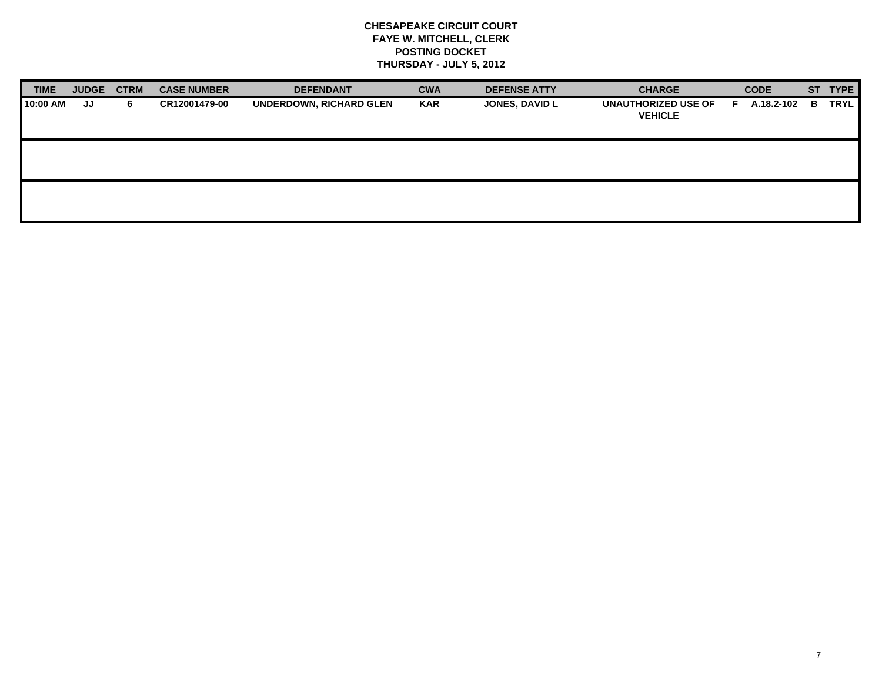| <b>TIME</b> | <b>JUDGE</b> | <b>CTRM</b> | <b>CASE NUMBER</b> | <b>DEFENDANT</b>               | <b>CWA</b> | <b>DEFENSE ATTY</b>   | <b>CHARGE</b>                                | <b>CODE</b>     |    | ST TYPE     |
|-------------|--------------|-------------|--------------------|--------------------------------|------------|-----------------------|----------------------------------------------|-----------------|----|-------------|
| 10:00 AM    | JJ           | 6.          | CR12001479-00      | <b>UNDERDOWN, RICHARD GLEN</b> | <b>KAR</b> | <b>JONES, DAVID L</b> | <b>UNAUTHORIZED USE OF</b><br><b>VEHICLE</b> | A.18.2-102<br>Е | в. | <b>TRYL</b> |
|             |              |             |                    |                                |            |                       |                                              |                 |    |             |
|             |              |             |                    |                                |            |                       |                                              |                 |    |             |